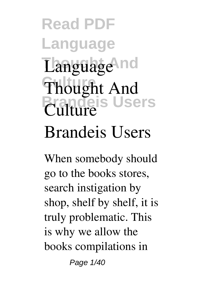**Read PDF Language** Language nd **Thought And Brandeis Users Culture**

#### **Brandeis Users**

When somebody should go to the books stores, search instigation by shop, shelf by shelf, it is truly problematic. This is why we allow the books compilations in

Page 1/40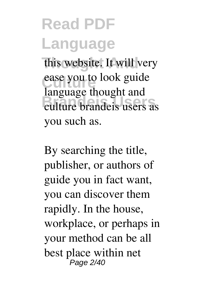this website. It will very ease you to look guide **Brandeis Users culture brandeis users** as **language thought and** you such as.

By searching the title, publisher, or authors of guide you in fact want, you can discover them rapidly. In the house, workplace, or perhaps in your method can be all best place within net Page 2/40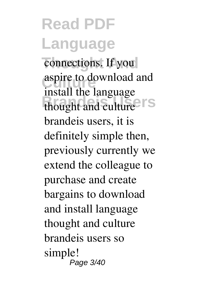connections. If you aspire to download and thought and culture<sup>9</sup> IS install the language brandeis users, it is definitely simple then, previously currently we extend the colleague to purchase and create bargains to download and install language thought and culture brandeis users so simple! Page 3/40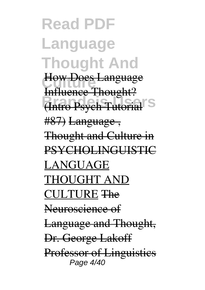**Read PDF Language Thought And** How Does Language **Historic Products** Influence Thought? #87) Language , Thought and Culture in PSYCHOLINGUISTIC LANGUAGE THOUGHT AND CULTURE The Neuroscience of Language and Thought, Dr. George Lakoff Professor of Linguistics Page 4/40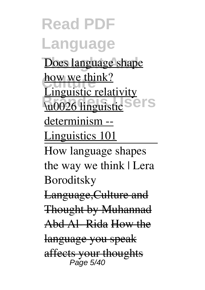**Read PDF Language** Does language shape how we think? **Branchistic Sers** Linguistic relativity determinism -- Linguistics 101 How language shapes the way we think | Lera Boroditsky Language,Culture and Thought by Muhannad Abd Al- Rida How the language you speak affects your thoughts Page 5/40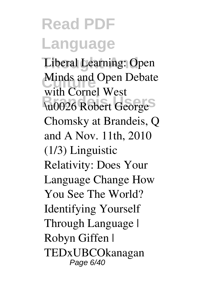Liberal Learning: Open **Minds and Open Debate Brandeis Users** *\u0026 Robert George with Cornel West* Chomsky at Brandeis, Q and A Nov. 11th, 2010 (1/3) Linguistic Relativity: Does Your Language Change How You See The World? *Identifying Yourself Through Language | Robyn Giffen | TEDxUBCOkanagan* Page 6/40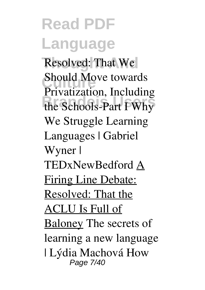**Resolved: That We Should Mo**<br>**D**uituration **Brandeis Users the Schools-Part I Why Should Move towards Privatization, Including We Struggle Learning Languages | Gabriel Wyner | TEDxNewBedford** A Firing Line Debate: Resolved: That the ACLU Is Full of Baloney The secrets of learning a new language | Lýdia Machová **How** Page 7/40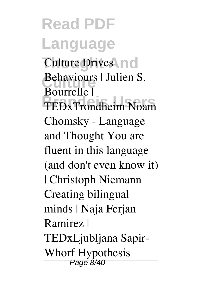**Culture Drives** no Behaviours | Julien S. **Brandeis Users TEDxTrondheim Noam Bourrelle | Chomsky - Language and Thought You are fluent in this language (and don't even know it) | Christoph Niemann Creating bilingual minds | Naja Ferjan Ramirez | TEDxLjubljana** Sapir-Whorf Hypothesis Page 8/40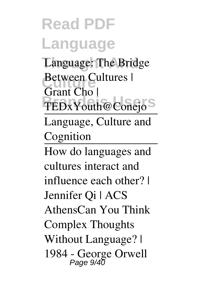Language: The Bridge **Culture** Between Cultures | TEDxYouth@Conejo<sup>S</sup> Grant Cho |

Language, Culture and Cognition

How do languages and cultures interact and influence each other? | Jennifer Qi | ACS Athens*Can You Think Complex Thoughts Without Language? | 1984 - George Orwell* Page 9/40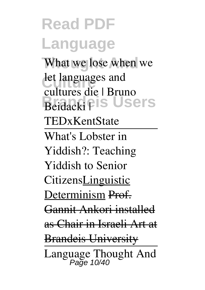What we lose when we **Culture let languages and Brandeis Users Beidacki | cultures die | Bruno TEDxKentState** What's Lobster in Yiddish?: Teaching Yiddish to Senior CitizensLinguistic Determinism Prof. Gannit Ankori installed as Chair in Israeli Art at Brandeis University

Language Thought And Page 10/40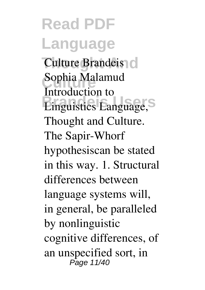**Culture Brandeis** Sophia Malamud<br>
Integ**lación Brandeish Linguistics Language, S** Introduction to Thought and Culture. The Sapir-Whorf hypothesiscan be stated in this way. 1. Structural differences between language systems will, in general, be paralleled by nonlinguistic cognitive differences, of an unspecified sort, in Page 11/40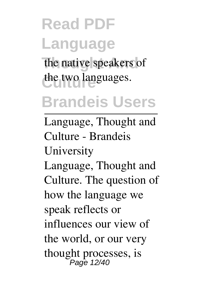the native speakers of the two languages.

#### **Brandeis Users**

Language, Thought and Culture - Brandeis University Language, Thought and Culture. The question of how the language we speak reflects or influences our view of the world, or our very thought processes, is Page 12/40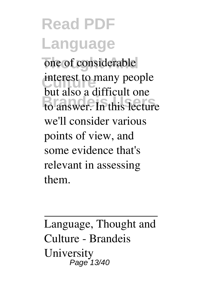one of considerable interest to many people **Brandeis Users** to answer. In this lecture but also a difficult one we'll consider various points of view, and some evidence that's relevant in assessing them.

Language, Thought and Culture - Brandeis University Page 13/40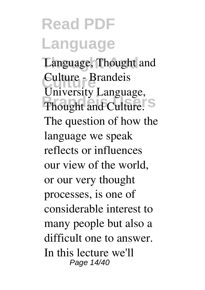Language, Thought and **Culture** Culture - Brandeis **Brandens** Culture.<sup>5</sup> University Language, The question of how the language we speak reflects or influences our view of the world, or our very thought processes, is one of considerable interest to many people but also a difficult one to answer. In this lecture we'll Page 14/40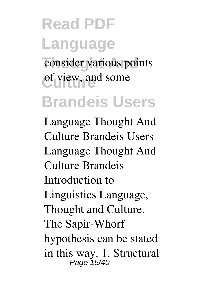consider various points of view, and some

#### **Brandeis Users**

Language Thought And Culture Brandeis Users Language Thought And Culture Brandeis Introduction to Linguistics Language, Thought and Culture. The Sapir-Whorf hypothesis can be stated in this way. 1. Structural Page 15/40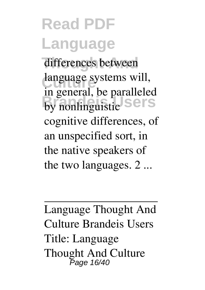differences between language systems will, by nonlinguistic **Sers** in general, be paralleled cognitive differences, of an unspecified sort, in the native speakers of the two languages. 2 ...

Language Thought And Culture Brandeis Users Title: Language Thought And Culture Page 16/40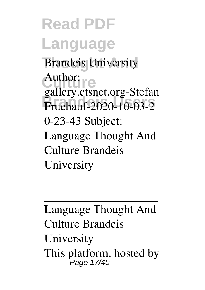**Read PDF Language Brandeis University** Author: **Brandeis Users** Fruehauf-2020-10-03-2 gallery.ctsnet.org-Stefan 0-23-43 Subject: Language Thought And Culture Brandeis University

Language Thought And Culture Brandeis University This platform, hosted by<br>Page 17/40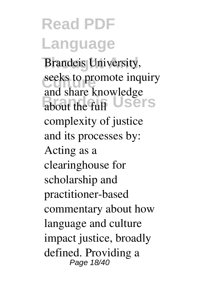**Brandeis University,** seeks to promote inquiry about the full Users and share knowledge complexity of justice and its processes by: Acting as a clearinghouse for scholarship and practitioner-based commentary about how language and culture impact justice, broadly defined. Providing a Page 18/40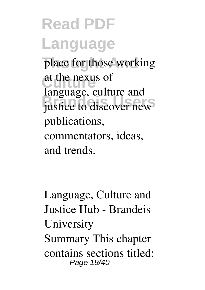place for those working at the nexus of **Brandeis Users** justice to discover new language, culture and publications, commentators, ideas, and trends.

Language, Culture and Justice Hub - Brandeis University Summary This chapter contains sections titled: Page 19/40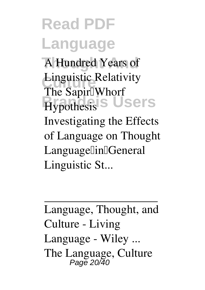A Hundred Years of **Linguistic Relativity**<br>
The Senirl**Where Brandeles** Busers The Sapir<sup>[]</sup>Whorf Investigating the Effects of Language on Thought LanguagellinllGeneral Linguistic St...

Language, Thought, and Culture - Living Language - Wiley ... The Language, Culture Page 20/40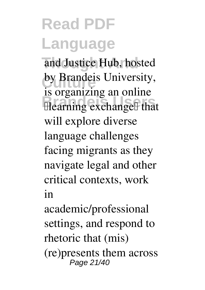and Justice Hub, hosted by Brandeis University, **Brandell** that **Exchanged** that is organizing an online will explore diverse language challenges facing migrants as they navigate legal and other critical contexts, work in

academic/professional settings, and respond to rhetoric that (mis) (re)presents them across Page 21/40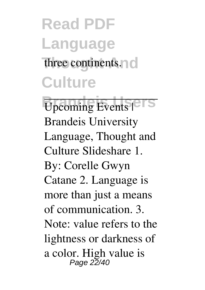#### **Read PDF Language** three continents. **Culture**

Upcoming Events <sup>|CTS</sup> Brandeis University Language, Thought and Culture Slideshare 1. By: Corelle Gwyn Catane 2. Language is more than just a means of communication. 3. Note: value refers to the lightness or darkness of a color. High value is Page 22/40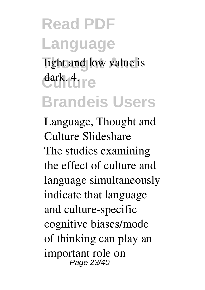#### **Read PDF Language** light and low value is dark. 4. re **Brandeis Users**

Language, Thought and Culture Slideshare The studies examining the effect of culture and language simultaneously indicate that language and culture-specific cognitive biases/mode of thinking can play an important role on Page 23/40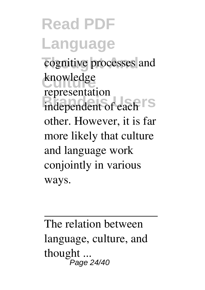cognitive processes and knowledge independent of each<sup>FS</sup> representation other. However, it is far more likely that culture and language work conjointly in various ways.

The relation between language, culture, and thought ... Page 24/40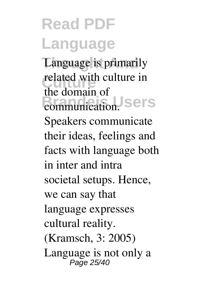Language is primarily related with culture in **Brandfield** Sers the domain of Speakers communicate their ideas, feelings and facts with language both in inter and intra societal setups. Hence, we can say that language expresses cultural reality. (Kramsch, 3: 2005) Language is not only a Page 25/40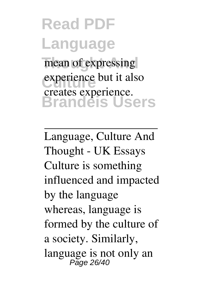mean of expressing experience but it also **Brandeis Users** creates experience.

Language, Culture And Thought - UK Essays Culture is something influenced and impacted by the language whereas, language is formed by the culture of a society. Similarly, language is not only an Page 26/40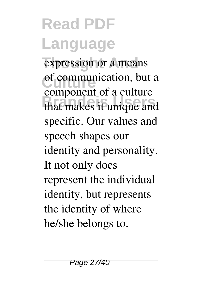expression or a means of communication, but a that makes it unique and component of a culture specific. Our values and speech shapes our identity and personality. It not only does represent the individual identity, but represents the identity of where he/she belongs to.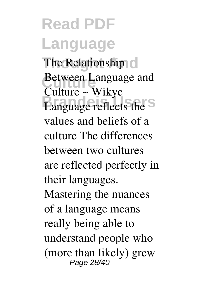The Relationship **Between Language and Brandeis** United States Culture ~ Wikye values and beliefs of a culture The differences between two cultures are reflected perfectly in their languages. Mastering the nuances of a language means really being able to understand people who (more than likely) grew Page 28/40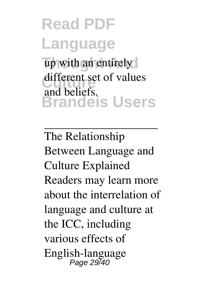up with an entirely different set of values **Brandeis Users** and beliefs.

The Relationship Between Language and Culture Explained Readers may learn more about the interrelation of language and culture at the ICC, including various effects of English-language Page 29/40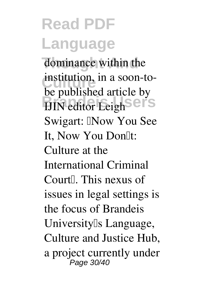dominance within the institution, in a soon-to-**Brandele Exercise** be published article by Swigart: **Now You See** It. Now You Don<sup>[1</sup>]: Culture at the International Criminal Court<sup>[1]</sup>. This nexus of issues in legal settings is the focus of Brandeis University<sup>[]</sup>s Language, Culture and Justice Hub, a project currently under Page 30/40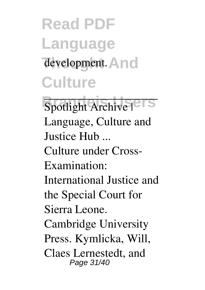**Read PDF Language** development. And **Culture**

**Spotlight Archive | CIS** Language, Culture and Justice Hub ... Culture under Cross-Examination: International Justice and the Special Court for Sierra Leone. Cambridge University Press. Kymlicka, Will, Claes Lernestedt, and Page 31/40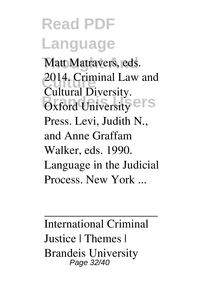**Matt Matravers, eds. Culture** 2014. Criminal Law and **Brandeling** Pressity Prs Cultural Diversity. Press. Levi, Judith N., and Anne Graffam Walker, eds. 1990. Language in the Judicial Process. New York ...

International Criminal Justice | Themes | Brandeis University Page 32/40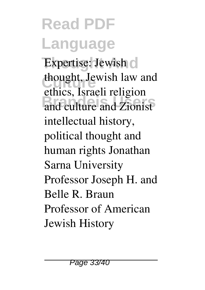**Expertise: Jewish** thought, Jewish law and<br> **change Issued in Figure Brandeis Users** and culture and Zionist ethics, Israeli religion intellectual history, political thought and human rights Jonathan Sarna University Professor Joseph H. and Belle R. Braun Professor of American Jewish History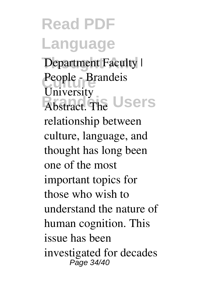**Department Faculty |** People - Brandeis **Abstract.** The Users University relationship between culture, language, and thought has long been one of the most important topics for those who wish to understand the nature of human cognition. This issue has been investigated for decades Page 34/40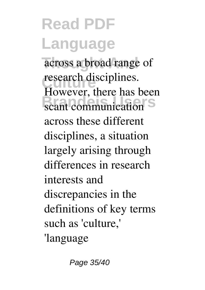across a broad range of research disciplines. scant communication<sup>S</sup> However, there has been across these different disciplines, a situation largely arising through differences in research interests and discrepancies in the definitions of key terms such as 'culture,' 'language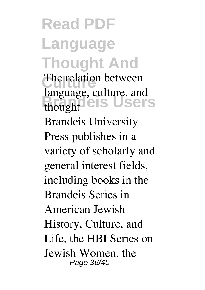### **Read PDF Language Thought And**

**The relation between Brandeis Users** thought language, culture, and<br>though else users Brandeis University Press publishes in a variety of scholarly and general interest fields, including books in the Brandeis Series in American Jewish History, Culture, and Life, the HBI Series on Jewish Women, the Page 36/40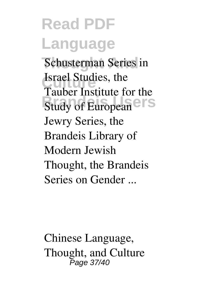**Schusterman Series in Israel Studies, the Brandell** Study of European CIS Tauber Institute for the Jewry Series, the Brandeis Library of Modern Jewish Thought, the Brandeis Series on Gender ...

Chinese Language, Thought, and Culture Page 37/40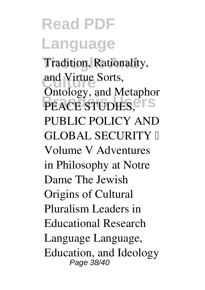Tradition, Rationality, and Virtue Sorts, **PEACE STUDIES, PEACE** Ontology, and Metaphor PUBLIC POLICY AND GLOBAL SECURITY II Volume V Adventures in Philosophy at Notre Dame The Jewish Origins of Cultural Pluralism Leaders in Educational Research Language Language, Education, and Ideology Page 38/40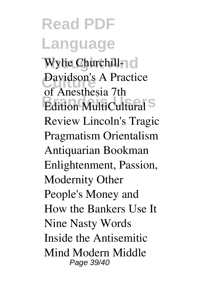Wylie Churchill-1 C Davidson's A Practice **Brandelling** of Anesthesia 7th Review Lincoln's Tragic Pragmatism Orientalism Antiquarian Bookman Enlightenment, Passion, Modernity Other People's Money and How the Bankers Use It Nine Nasty Words Inside the Antisemitic Mind Modern Middle Page 39/40